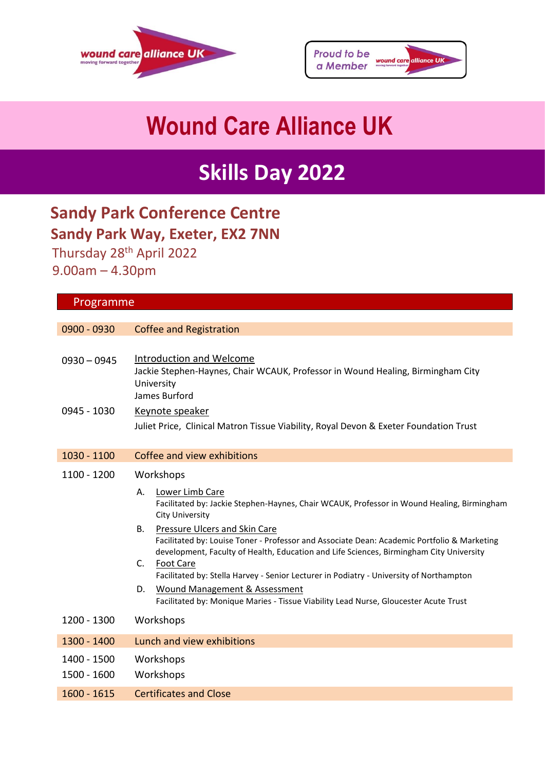



# **Wound Care Alliance UK**

## **Skills Day 2022**

## **Sandy Park Conference Centre Sandy Park Way, Exeter, EX2 7NN**

 Thursday 28th April 2022 9.00am – 4.30pm

| Programme                    |                                                                                                                                                                                                                                                                                                                                                                                                                                                                                                                                                                                                                                                        |
|------------------------------|--------------------------------------------------------------------------------------------------------------------------------------------------------------------------------------------------------------------------------------------------------------------------------------------------------------------------------------------------------------------------------------------------------------------------------------------------------------------------------------------------------------------------------------------------------------------------------------------------------------------------------------------------------|
|                              |                                                                                                                                                                                                                                                                                                                                                                                                                                                                                                                                                                                                                                                        |
| 0900 - 0930                  | <b>Coffee and Registration</b>                                                                                                                                                                                                                                                                                                                                                                                                                                                                                                                                                                                                                         |
| $0930 - 0945$<br>0945 - 1030 | <b>Introduction and Welcome</b><br>Jackie Stephen-Haynes, Chair WCAUK, Professor in Wound Healing, Birmingham City<br>University<br>James Burford<br>Keynote speaker<br>Juliet Price, Clinical Matron Tissue Viability, Royal Devon & Exeter Foundation Trust                                                                                                                                                                                                                                                                                                                                                                                          |
| 1030 - 1100                  | Coffee and view exhibitions                                                                                                                                                                                                                                                                                                                                                                                                                                                                                                                                                                                                                            |
| 1100 - 1200                  | Workshops<br>А.<br>Lower Limb Care<br>Facilitated by: Jackie Stephen-Haynes, Chair WCAUK, Professor in Wound Healing, Birmingham<br><b>City University</b><br><b>B.</b><br>Pressure Ulcers and Skin Care<br>Facilitated by: Louise Toner - Professor and Associate Dean: Academic Portfolio & Marketing<br>development, Faculty of Health, Education and Life Sciences, Birmingham City University<br><b>Foot Care</b><br>C.<br>Facilitated by: Stella Harvey - Senior Lecturer in Podiatry - University of Northampton<br>D.<br>Wound Management & Assessment<br>Facilitated by: Monique Maries - Tissue Viability Lead Nurse, Gloucester Acute Trust |
| 1200 - 1300                  | Workshops                                                                                                                                                                                                                                                                                                                                                                                                                                                                                                                                                                                                                                              |
| 1300 - 1400                  | Lunch and view exhibitions                                                                                                                                                                                                                                                                                                                                                                                                                                                                                                                                                                                                                             |
| 1400 - 1500<br>1500 - 1600   | Workshops<br>Workshops                                                                                                                                                                                                                                                                                                                                                                                                                                                                                                                                                                                                                                 |
| $1600 - 1615$                | <b>Certificates and Close</b>                                                                                                                                                                                                                                                                                                                                                                                                                                                                                                                                                                                                                          |